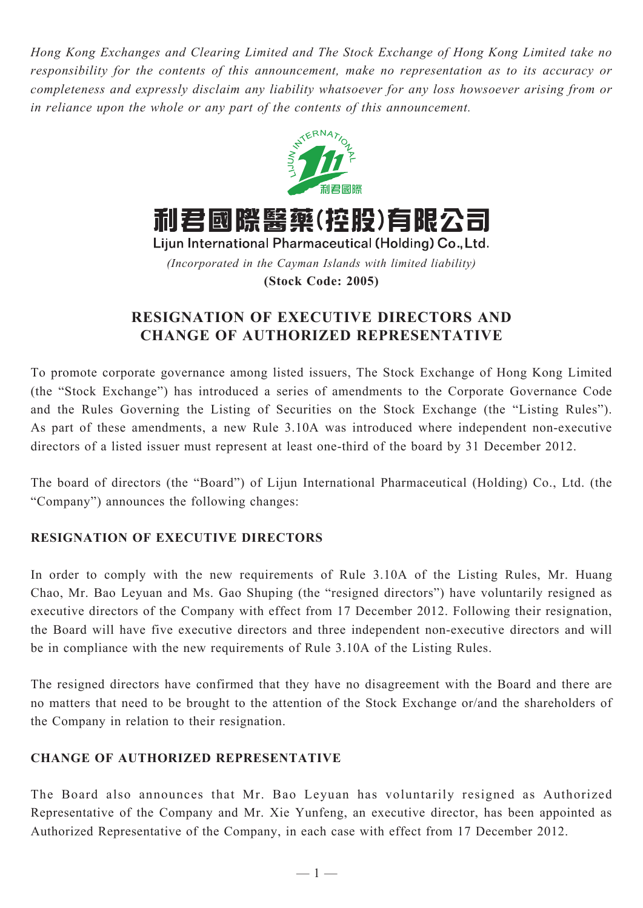*Hong Kong Exchanges and Clearing Limited and The Stock Exchange of Hong Kong Limited take no responsibility for the contents of this announcement, make no representation as to its accuracy or completeness and expressly disclaim any liability whatsoever for any loss howsoever arising from or in reliance upon the whole or any part of the contents of this announcement.*



*(Incorporated in the Cayman Islands with limited liability)* **(Stock Code: 2005)**

## **RESIGNATION OF EXECUTIVE DIRECTORS AND CHANGE OF AUTHORIZED REPRESENTATIVE**

To promote corporate governance among listed issuers, The Stock Exchange of Hong Kong Limited (the "Stock Exchange") has introduced a series of amendments to the Corporate Governance Code and the Rules Governing the Listing of Securities on the Stock Exchange (the "Listing Rules"). As part of these amendments, a new Rule 3.10A was introduced where independent non-executive directors of a listed issuer must represent at least one-third of the board by 31 December 2012.

The board of directors (the "Board") of Lijun International Pharmaceutical (Holding) Co., Ltd. (the "Company") announces the following changes:

## **RESIGNATION OF EXECUTIVE DIRECTORS**

In order to comply with the new requirements of Rule 3.10A of the Listing Rules, Mr. Huang Chao, Mr. Bao Leyuan and Ms. Gao Shuping (the "resigned directors") have voluntarily resigned as executive directors of the Company with effect from 17 December 2012. Following their resignation, the Board will have five executive directors and three independent non-executive directors and will be in compliance with the new requirements of Rule 3.10A of the Listing Rules.

The resigned directors have confirmed that they have no disagreement with the Board and there are no matters that need to be brought to the attention of the Stock Exchange or/and the shareholders of the Company in relation to their resignation.

## **CHANGE OF AUTHORIZED REPRESENTATIVE**

The Board also announces that Mr. Bao Leyuan has voluntarily resigned as Authorized Representative of the Company and Mr. Xie Yunfeng, an executive director, has been appointed as Authorized Representative of the Company, in each case with effect from 17 December 2012.